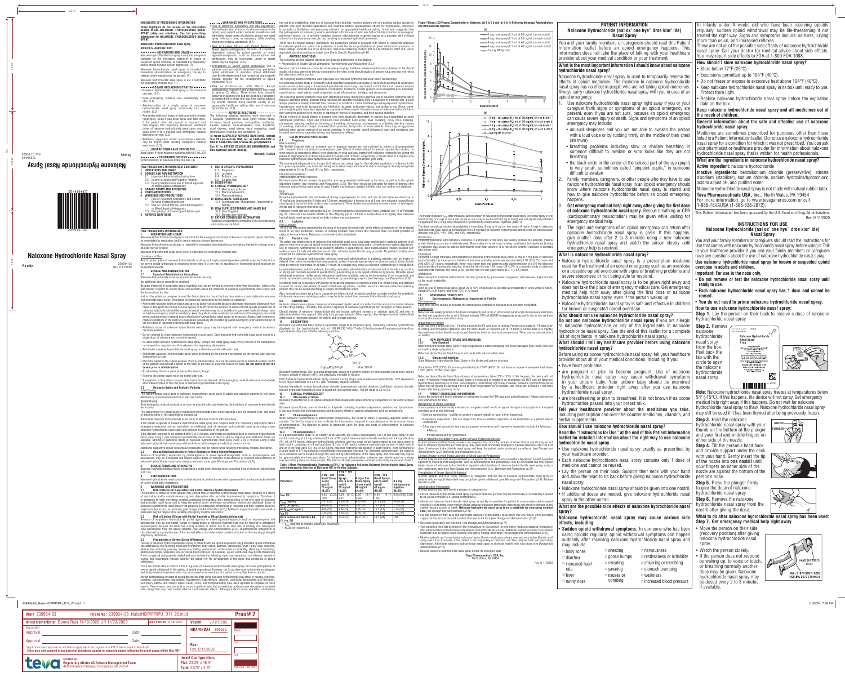**HIGHLIGHTS OF PRESCRIBING INFORMATION**

**information for NALOXONE HYDROCHLORIDE NASAL** 

**SPRAY.**

**NALOXONE HYDROCHLORIDE nasal spray Initial U.S. Approval: 1971**

---------**INDICATIONS AND USAGE---------**Naloxone hydrochloride nasal spray is an opioid antagonist indicated for the emergency treatment of known or suspected opioid overdose, as manifested by respiratory and/or central nervous system depression. (1) Naloxone hydrochloride nasal spray is intended for immediate administration as emergency therapy in settings where opioids may be present. (1) Naloxone hydrochloride nasal spray is not a substitute

for emergency medical care. (1)

**DOSAGE AND ADMINISTRATION** • Naloxone hydrochloride nasal spray is for intranasal

use only. (2.1)

• Seek emergency medical care immediately after

use. (2.1)

• Administration of a single spray of naloxone hydrochloride nasal spray intranasally into one

• Administer additional doses of naloxone hydrochloride<br>nasal spray, using a new nasal spray with each dose,<br>the patient does not respond or responds and<br>then relapses into respiratory depression, additional<br>doses of nalox

**These highlights do not include all the information needed to use NALOXONE HYDROCHLORIDE NASAL SPRAY safely and effectively. See full prescribing**  opioid, keep patient under continued surveillance and administer repeat doses of naloxone using a new nasal spray with each dose, as necessary, while awaiting emergency medical assistance. (5.1)

nostril. (2.2)

3 **DOSAGE** 

given every 2 to 3 minutes until emergency medical assistance arrives. (2.2)

**DOSAGE FORMS AND STRENGTHS------**Nasal spray: 4 mg of naloxone hydrochloride in 0.1 mL. (3) **CONTRAINDICATIONS** 

**EO-726622**<br> **VISIBLE**<br>
2300344-03

Additional supportive and/or resuscitative measures **Teva Pharmaceuticals USA, Inc. at 1-888-838-2872 •**<br>The helpful while awaiting emergency medical **FDA at 1-800-FDA-1088 or www.fda.gov/medwatch.**<br>assistance. (2.2) **To report SUSPECTED ADVERSE REACTIONS, contact Teva Pharmaceuticals USA, Inc. at 1-888-838-2872 or FDA-approved patient labeling.**

• Risk of Limited Efficacy with Partial Agonists or Mixed Agonists/Antagonists: Reversal of respiratory depression caused by partial agonists or mixed agonists/antagonists, such as buprenorphine and pentazocine, may be incomplete. Larger or repeat doses may be required. (5.2)

• Precipitation of Severe Opioid Withdrawal: Use in patients who are opioid dependent may precipitate opioid withdrawal. In neonates, opioid withdrawal may be life-threatening if not recognized and properly treated. Monitor for the development of opioid withdrawal. (5.3)

The following adverse reactions were observed in a naloxone hydrochloride nasal spray clinical study. In a pharmacokinetic study of 30 healthy adult volunteers exposed to one spray of naloxone hydrochloride nasal spray in one nostril or two sprays of naloxone hydrochloride nasal spray, one in each nostril, the most common adverse<br>reactions were: increased blood pressure, constipation, toothache, muscle spasms, musculoskeletal pain, heada

• Risk of Cardiovascular (CV) Effects: Abrupt postoperative reversal of opioid depression may result occurred in patients who had pre-existing CV disorders or received other drugs that may have similar adverse CV effects. Monitor these patients closely in an appropriate healthcare setting after use of naloxone hydrochloride. (5.3)

in adverse CV effects. These events have primarily — nasal dryness, nasal edema, nasal congestion, nasal inflammation, rhinalgia, and xeroderma. The following adverse reactions have been identified primarily during post-approval use of naloxone hydrochloride in<br>the post-operative setting. Because these reactions are reported voluntarily from a population of uncerta hypertension, ventricular tachycardia and fibrillation, dyspnea, pulmonary edema, and cardiac arrest. Death, coma,<br>and encephalopathy have been reported as sequelae of these events. Excessive doses of naloxone hydrochlorid post-operative patients have resulted in significant reversal of analgesia, and have caused agitation.

**ADVERSE REACTIONS** The following adverse reactions were observed in a naloxone hydrochloride nasal spray clinical study: increased blood pressure, constipation, toothache, muscle spasms, musculoskeletal pain, headache, nasal dryness, nasal edema, nasal congestion, nasal inflammation, rhinalgia, and xeroderma. (6)

**Revised: 11/2020**

rba at rouv-rba-rugo ul www.lua.yuv/ineuwatuli. <u>Risk Summary</u><br>See 17 for PATIENT COUNSELING INFORMATION and The limited available data on naloxone use in pregnant women are not sufficient to inform a drug-associated risk. However, there are clinical considerations *[see Clinical Considerations].* In animal reproduction studies, no<br>embryotoxic or teratogenic effects were observed in mice and rats treated with naloxone hydrochloride dur naloxone hydrochloride nasal sprays) based on body surface area comparison *[see Data]*. estimated background risk of major birth defects and miscarriage for the indicated population is unknown. In the U.S. general population, the estimated background risk of major birth defects and miscarriage in clinically recognized

> 10 mg/kg/day (equivalent to 6-times and 12-times, respectively, a human dose of 8 mg (two naloxone hydrochloride nasal sprays) (based on body surface area comparison). These studies demonstrated no embryotoxic or teratogeni

Risk Summary There is no information regarding the presence of naloxone in human milk, or the effects of naloxone on the breastfed<br>infant or on milk production. Studies in nursing mothers have shown that naloxone does not affect prolac oxytocin hormone levels. Naloxone is minimally orally bioavailable.

There may be clinical settings, particularly the postpartum period in neonates with known or suspected exposure to maternal opioid use, where it is preferable to avoid the abrupt precipitation of opioid withdrawal symptoms. In<br>these settings, consider use of an alternative, naloxone-containing product that can be titrated to effect **6 ADVERSE REACTIONS**

The following serious adverse reactions are discussed elsewhere in the labeling: • Precipitation of Severe Opioid Withdrawal *[see Warnings and Precautions (5.3)]*

Absorption of naloxone hydrochloride following intranasal administration in pediatric patients may be erratic or delayed. Even when the opiate-intoxicated pediatric patient responds appropriately to naloxone hydrochloride, he/she must be carefully monitored for at least 24 hours, as a relapse may occur as naloxone hydrochloride is metabolized. In opioid-dependent pediatric patients, (including neonates), administration of naloxone hydrochloride may result in an abrupt and complete reversal of opioid effects, precipitating an acute opioid withdrawal syndrome. Neonatal opioid withdrawal syndrome, unlike opioid withdrawal syndrome in adults, may be life-threatening, if not recognized, and<br>should be treated according to protocols developed by neonatology experts *[see Warnings and Precautions (5.* In settings such as in neonates with known or suspected exposure to maternal opioid use, where it may be preferable<br>to avoid the abrupt precipitation of opioid withdrawal symptoms, consider use of an alternate naloxone-con

Because clinical studies are conducted under widely varying conditions, adverse reaction rates observed in the clinical studies of a drug cannot be directly compared to the rates in the clinical studies of another drug and may not reflect the rates observed in practice.

Geriatric patients have a greater frequency of decreased hepatic, renal, or cardiac function and of concomitant disease<br>or other drug therapy. Therefore, the systemic exposure of naloxone hydrochloride can be higher in the Clinical studies of naloxone hydrochloride did not include sufficient numbers of subjects aged 65 and over to determine whether they respond differently from younger subjects. Other reported clinical experience has not identified differences in responses between the elderly and younger patients. **11 DESCRIPTION**

in water, soluble in ethanol (96%) and practically insoluble in toluene Each Naloxone Hydrochloride Nasal Spray contains a 4 mg single dose of naloxone hydrochloride, USP (equivalent to 3.6 mg of naloxone) in a 0.1 mL (100 microliter) aqueous solution. Inactive ingredients include benzalkonium chloride (preservative), edetate disodium (stabilizer), sodium chloride,

Abrupt reversal of opioid effects in persons who were physically dependent on opioids has precipitated an acute withdrawal syndrome. Signs and symptoms have included: body aches, fever, sweating, runny nose, sneezing,<br>piloerection, yawning, weakness, shivering or trembling, nervousness, restlessness or irritability, diarrhea, nausea included convulsions, excessive crying, and hyperactive reflexes.

**8 USE IN SPECIFIC POPULATIONS 8.1 Pregnancy**

**12.3 Pharmacokinetics**<br> **In a pharmacokinetic study in 30 healthy adult subjects, the relative bioavailability (BA) of one nasal spray in one<br>
in a pharmacokinetic study in 30 healthy adult subjects, the relative bioav** for approximately one hour post-dose. For intramuscular administration, naloxone was administered as a single<br>injection in the gluteus maximus muscle. The pharmacokinetic parameters obtained in the study are shown in Table **Table 1 Mean Pharmacokinetic Parameters (CV%) for Naloxone Following Naloxone Hydrochloride Nasal Spray** 



pregnancies is 2% to 4% and 15% to 20%, respectively.

*Fetal/Neonatal adverse reactions*<br>Naloxone hydrochloride crosses the placenta, and may precipitate withdrawal in the fetus, as well as in the opioid-<br>dependent mother *[see Warnings and Precautions (5.3)]*. The fetus shou

The median naloxone  $t_{max}$  after intranasal administration of naloxone hydrochloride nasal spray (one nasal spray in one nostril (2 mg or 4 mg) or two nasal sprays as one spray in each nostril (4 mg or 8 mg) was not significantly different compared to the 0.4 mg dose of naloxone hydrochloride intramuscular injection (Table 1). The dose normalized relative bioavailability of one dose (2 mg or 4 mg) or two doses (4 mg or 8 mg) of naloxone hydrochloride nasal spray as compared to the 0.4 mg dose of naloxone hydrochloride administered by intramuscular injection was 52%, 44%, 54%, and 43%, respectively.

<u>Distribution</u><br>Following parenteral administration, naloxone is distributed in the body and readily crosses the placenta. Plasma<br>protein binding occurs but is relatively weak. Plasma albumin is the major binding constituen

### Data *Animal Data*

<u>Elimination</u><br>Following a single intranasal administration of naloxone hydrochloride nasal spray (2 mg or 4 mg dose of naloxone hydrochloride), the mean plasma half-life of naloxone in healthy adults was approximately 1.85 (33% CV) hours and<br>2.08 (30% CV) hours; respectively, which was longer than that observed after administrations of a 0.4 mg nal hydrochloride intramuscular injection, where the half-life was 1.24 hours (26% CV). In a neonatal study of naloxone hydrochloride injection, the mean (± SD) plasma half-life was observed to be 3.1 (± 0.5) hours.

hloride is metabolized in the liver, primarily by glucuronide conjugation, with naloxone-3-glucoronid:

*Excretion*<br>After an oral or intravenous dose, about 25 to 40% of naloxone is excreted as metabolites in urine within 6 hours,<br>about 50% in 24 hours, and 60 to 70% in 72 hours.

effects due to naloxone hydrochloride. Pregnant female rats were administered 2 or 10 mg/kg naloxone subcutaneously from Gestation Day 15 to Postnatal day 21. There were no adverse effects on the offspring (up to 12-times a human dose of 8 mg/day (two naloxone

#### ydrochloride nasal sprays) based on body surface area comparison). **8.2 Lactation** scribing 8.2

lale rats were treated with 2 or 10 mg/kg naloxone for 60 days prior to mating. Female rats treated for 14-days prio to mating and throughout gestation with the same doses of naloxone (up to 12-times a human dose of 8 mg/day (two naloxone hydrochloride nasal sprays) based on body surface area comparison). There was no adverse effect

**16.1 How Supplied**<br>Naloxone Hydrochloride Nasal Spray 4 mg is supplied as a carton containing two blister packages (NDC 0093-2165-68)

Naloxone Hydrochloride Nasal Spray freezes at temperatures below 5°F (-15°C). If this happens, the device will not<br>spray. If Naloxone Hydrochloride Nasal Spray is frozen and is needed in an emergency, do NOT wait for Nalox Hydrochloride Nasal Spray to thaw. Get emergency medical help right away. However, Naloxone Hydrochloride Nasal<br>Spray may be thawed by allowing it to sit at room temperature for 15 minutes, and it may still be used if it h

<u>Recognition of Opioid Overdose</u><br>Inform patients and their family members or caregivers about how to recognize the signs and symptoms of an opioid<br>overdose such as the following:

mpairment of Fertility on fertility. **16 HOW SUPPLIED/STORAGE AND HANDLING**

**8.4 Pediatric Use** The safety and effectiveness of naloxone hydrochloride nasal spray have been established in pediatric patients of all ages for known or suspected opioid overdose as manifested by respiratory and/or central nervous system depression.<br>Use of naloxone hydrochloride in all pediatric patients is supported by adult bioequivalence studies couple conducted for naloxone hydrochloride nasal spray.

Also, in situations where the primary concern is for infants at risk for opioid overdose, consider whether the availability of alternate naloxone-containing products may be better suited than naloxone hydrochloride nasal spray. **8.5 Geriatric Use**

> overdose is suspected, even when in doubt, because prolonged respiratory depression may result in damage to the<br>central nervous system or death. **Naloxone hydrochloride nasal spray is not a substitute for emergency medical** • Lay the patient on their back and administer naloxone hydrochloride nasal spray into one nostril while providing

> • Turn patient on their side as shown in the *Instructions for Use* and call for emergency medical assistance immediately after administration of the first dose of naloxone hydrochloride nasal spray. Additional supportive and/or resuscitative measures may be helpful while awaiting emergency medical assistance *[see Dosage and Administration (2.1)]*. • Monitor patients and re-administer naloxone hydrochloride nasal spray using a new naloxone hydrochloride nasal<br>spray every 2 to 3 minutes, if the patient is not responding or responds and then relapses back into respirat

Naloxone Hydrochloride Nasal Spray is a pre-filled, single dose intranasal spray. Chemically, naloxone hydrochloride dihydrate is the hydrochloride salt of (5R,9R,13S,14S)-17-Allyl-3,14-dihydroxy-4,5-epoxymorphinan-6-on hydrochloride dihydrate with the following structure:



Naloxone hydrochloride, USP an opioid antagonist, occurs as a white to slightly off-white powder, and is freely soluble

sodium hydroxide/hydrochloric acid to adjust pH, and purified water. The pH range is 3.5 to 5.5. **12 CLINICAL PHARMACOLOGY 12.1 Mechanism of Action**

ne hydrochloride is an opioid antagonist that antagonizes opioid effects by competing for the same receptor

sites. Naloxone hydrochloride reverses the effects of opioids, including respiratory depression, sedation, and hypotension. It can also reverse the psychotomimetic and dysphoric effects of agonist-antagonists such as pentazocine.

- Naloxone hydrochloride nasal spray is a prescription medicine used for the treatment of an opioid emergency such as an overdose or a possible opioid overdose with signs of breathing problems and severe sleepiness or not being able to respond.
- Naloxone hydrochloride nasal spray is to be given right away and does not take the place of emergency medical care. Get emergency medical help right away after giving the first dose of naloxone hydrochloride nasal spray, even if the person wakes up.
- Naloxone hydrochloride nasal spray is safe and effective in children for known or suspected opioid overdose.

**12.2 Pharmacodynamics** When naloxone hydrochloride is administered intravenously, the onset of action is generally apparent within two minutes. The time to onset of action is shorter for intravenous compared to subc of administration. The duration of action is dependent upon the dose and route of administration of naloxone hydrochloride.

**Do not use naloxone hydrochloride nasal spray** if you are allergic to naloxone hydrochloride or any of the ingredients in naloxone hydrochloride nasal spray. See the end of this leaflet for a complete list of ingredients in naloxone hydrochloride nasal spray.

- are pregnant or plan to become pregnant. Use of naloxone hydrochloride nasal spray may cause withdrawal symptoms in your unborn baby. Your unborn baby should be examined by a healthcare provider right away after you use naloxone hydrochloride nasal spray.
- $\alpha$  are breastfeeding or plan to breastfeed. It is not known if naloxone hydrochloride passes into your breast milk.

- Use naloxone hydrochloride nasal spray exactly as prescribed by your healthcare provider.
- Each naloxone hydrochloride nasal spray contains only 1 dose of of the nozzle into **one nostril** until medicine and cannot be reused.
- Lay the person on their back. Support their neck with your hand and allow the head to tilt back before giving naloxone hydrochloride nasal spray.
- Naloxone hydrochloride nasal spray should be given into one nostril. • If additional doses are needed, give naloxone hydrochloride nasal spray in the other nostril.

 $\circ$  sweating  $\circ$  yawning o nausea or vomiting

- $\circ$  sneezing  $\circ$  goose bumps o nervousness
	- o restlessness or irritability
	- o shivering or trembling
	-
	- o stomach cramping oweakness
	- o increased blood pressure
	-

| and Intramuscular Injection of Naloxone HCI to Healthy Subjects |                                                                                   |                                                                                            |                                                                                |                                                                                        |                                                             |  |
|-----------------------------------------------------------------|-----------------------------------------------------------------------------------|--------------------------------------------------------------------------------------------|--------------------------------------------------------------------------------|----------------------------------------------------------------------------------------|-------------------------------------------------------------|--|
| Parameter                                                       | $2mg - One$<br>Nasal Spray<br>in one<br>nostril<br>$20 \text{ ma/ml}$<br>$(N=29)$ | 4 ma – Two<br>Nasal<br>Sprays,<br>one in each<br>nostril<br>$20 \text{ ma/ml}$<br>$(N=29)$ | $4mq - One$<br>Nasal Spray<br>in one nostril<br>$40 \text{ ma/ml}$<br>$(N=29)$ | 8 mg -Two<br>Nasal Sprays,<br>one in each<br>nostril<br>$40 \text{ ma/ml}$<br>$(N=29)$ | 0.4 <sub>mq</sub><br>Intramuscular<br>Iniection<br>$(N=29)$ |  |
| $t_{\text{max}}$ (h) <sup>1</sup>                               | (0.25.<br>0.33<br>1.00                                                            | (0.17.10.50)<br>0.33<br>0.57                                                               | (0.17.<br>1.00                                                                 | 0.33<br>1.00                                                                           | (0.17, 0.38, 0.08, 2.05)                                    |  |
| $C_{\text{max}}$ (ng/mL)                                        | 2.91(35)                                                                          | 6.30(34)                                                                                   | 4.83 (43)                                                                      | 9.70(36)                                                                               | 0.88(31)                                                    |  |
| $AUC_t$ (hr ng/mL)                                              | 4.60(27)                                                                          | 9.64(24)                                                                                   | 7.87(37)                                                                       | 15.3(23)                                                                               | 1.75(23)                                                    |  |
| $AUC_{n-int}$ (h*ng/mL)                                         | 4.66(27)                                                                          | 9.74(24)                                                                                   | 7.95(37)                                                                       | 15.5(23)                                                                               | 1.79(23)                                                    |  |
| $t_{1/2}$ (h)                                                   | 1.85(33)                                                                          | 2.19(33)                                                                                   | 2.08(30)                                                                       | 2.10(32)                                                                               | 1.24(26)                                                    |  |
| Dose normalized Relative BA<br>$(%)$ vs. IM                     | 51.7 (22)                                                                         | 54.0(23)                                                                                   | 44.2 $(31)^2$                                                                  | 43.1 (24)                                                                              | 100                                                         |  |
| $1. t_{\text{max}}$ reported as median (minimum maximum)        |                                                                                   |                                                                                            |                                                                                |                                                                                        |                                                             |  |

2. N=28 for Relative BA.

0 2

14



Naloxone hydrochloride was administered during organogenesis to mice and rats at subcutaneous doses up to







**NOZZLE** PLUNGER<del>A</del>

into human milk.

#### **FULL PRESCRIBING INFORMATION 1 INDICATIONS AND USAGE**

oids may be presen Naloxone hydrochloride nasal spray is not a substitute for emergency medical care.

*Metabolism*

Naloxone hydrochloride<br>as the major metabolite

Because treatment of suspected opioid overdose must be performed by someone other than the patient, instruct the<br>prescription recipient to inform those around them about the presence of naloxone hydrochloride nasal spray a the *Instructions for Use*.

#### **13 NONCLINICAL TOXICOLOGY 13.1 Carcinogenesis, Mutagenesis, Impairment of Fertility**

<u>Carcinogenesis</u><br>Long-term animal studies to evaluate the carcinogenic potential of naloxone have not been completed.

|    | Hypersensitivity to naloxone hydrochloride. (4)                                                                                                                                                                                                                                    |                                                                                                                                                                                                                                             |  |
|----|------------------------------------------------------------------------------------------------------------------------------------------------------------------------------------------------------------------------------------------------------------------------------------|---------------------------------------------------------------------------------------------------------------------------------------------------------------------------------------------------------------------------------------------|--|
| 1. | FULL PRESCRIBING INFORMATION: CONTENTS*<br>INDICATIONS AND USAGE<br>2 DOSAGE AND ADMINISTRATION<br>2.1 Important Administration Instructions<br>2.2 Dosing in Adults and Pediatric Patients<br>Dosing Modifications due to Partial Agonists<br>2.3<br>or Mixed Agonist/Antagonists | USE IN SPECIFIC POPULATIONS<br>8<br>8.1 Pregnancy<br>Lactation<br>8.2<br>8.4 Pediatric Use<br>8.5 Geriatric Use<br><b>11 DESCRIPTION</b><br><b>12 CLINICAL PHARMACOLOGY</b>                                                                 |  |
| 5. | 3 DOSAGE FORMS AND STRENGTHS<br>4 CONTRAINDICATIONS<br>WARNINGS AND PRECAUTIONS<br>5.1 Risk of Recurrent Respiratory and Central<br>Nervous System Depression                                                                                                                      | 12.1 Mechanism of Action<br>12.2 Pharmacodynamics<br>12.3 Pharmacokinetics<br>13 NONCLINICAL TOXICOLOGY<br>13.1 Carcinogenesis, Mutagenesis, Impairment of                                                                                  |  |
| 6  | 5.2 Risk of Limited Efficacy with Partial Agonists<br>or Mixed Agonist/Antagonists<br>5.3 Precipitation of Severe Opioid Withdrawal<br><b>ADVERSE REACTIONS</b>                                                                                                                    | Fertility<br>16 HOW SUPPLIED/STORAGE AND HANDLING<br>16.1 How Supplied<br>16.2 Storage and Handling<br><b>17 PATIENT COUNSELING INFORMATION</b><br>*Sections or subsections omitted from the full prescribin<br>information are not listed. |  |

Mutagenesis Naloxone was weakly positive in the Ames mutagenicity and in the *in vitro* human lymphocyte chromosome aberration test but was negative in the *in vitro* Chinese hamster V79 cell HGPRT mutagenicity assay and in the *in vivo* rat bone marrow chromosome aberration study.

• Administer naloxone hydrochloride nasal spray as quickly as possible because prolonged respiratory depression may<br>result in damage to the central nervous system or death. Since the duration of action of most opioids exce naloxone hydrochloride and the suspected opioid overdose may occur outside of supervised medical settings, seek immediate emergency medical assistance, keep the patient under continued surveillance until emergency personnel<br>arrive, and administer repeated doses of naloxone hydrochloride nasal spray, as necessary. Always seek emergen the first dose of naloxone hydrochloride nasal spray.

• Place the patient in the supine position. Prior to administration, be sure the device nozzle is in of the patient, and provide support to the back of the neck to allow the head to tilt back. **Do not prime or test the device prior to administration.**

each with a single spray device. Naloxone Hydrochloride Nasal Spray is not made with natural rubber latex. **Storage and Handling** Store Naloxone Hydrochloride Nasal Spray in the blister and cartons provided.

Repeat Dosing  $\overline{\rm merger}$  medical assistance as soon as possible after administering the first dose of naloxone hydrochlorid nasal spray.

If the desired response is not obtained after 2 or 3 minutes, administer an additional dose of naloxone hydrochloride<br>nasal spray using a new naloxone hydrochloride nasal spray. If there is still no response and additional Additional supportive and/or resuscitative measures may be helpful while awaiting emergency medical assistance.

**2.3 Dosing Modifications due to Partial Agonists or Mixed Agonist/Antagonists** Reversal of respiratory depression by partial agonists or mixed agonist/antagonists, such as buprenorphine and pentazocine, may be incomplete and require higher doses of naloxone hydrochloride or repeated administration of oride nasal spray using a new nasal spray *[see Warnings and Precautions (5.2)]*.

thawed after being previously frozen.

#### **17 PATIENT COUNSELING INFORMATION** Advise the patient and family members or caregivers to read the FDA-approved patient labeling (*Patient Information* and *Instructions for Use*).

**4 CONTRAINDICATIONS** Naloxone hydrochloride nasal spray is contraindicated in patients known to be hypersensitive to naloxone hydrochloride or to any of the other ingredients.

• Extreme somnolence - inability to awaken a patient verbally or upon a firm sternal rub. • Respiratory depression - this can range from slow or shallow respiration to no respiration in a patient who is

unarousable.

• Other signs and symptoms that may accompany somnolence and respiratory depression include the following:

<u>Risk of Recurrent Respiratory and Central Nervous System Depression</u><br>Instruct patients and their family members or caregivers that, since the duration of action of most opioids may exceed<br>that of naloxone hydrochloride ma

<u>Limited Efficacy for/with Partial Agonists or Mixed Agonist/Antagonists</u><br>Instruct patients and their family members or caregivers that the reversal of respiratory depression caused by partial<br>agonists or mixed agonist/ant higher doses of naloxone hydrochloride or repeated administration of naloxone hydrochloride nasal spray, using a<br>new nasal spray each time *[see Dosage and Administration (2.3), Warnings and Precautions (5.2)].* 

<u>Precipitation of Severe Opioid Withdrawal</u><br>Instruct patients and their family members or caregivers that the use of naloxone hydrochloride nasal spray in<br>patients who are opioid dependent may precipitate opioid withdrawal

¡ Miosis. ¡ Bradycardia and/or hypotension.

The duration of action of most opioids may exceed that of naloxone hydrochloride nasal spray resulting in a return<br>of respiratory and/or central nervous system depression after an initial improvement in symptoms. Therefore is necessary to seek emergency medical assistance immediately after administration of the first dose of naloxone<br>hydrochloride nasal spray and to keep the patient under continued surveillance. Administer additional doses o measures may be helpful while awaiting emergency medical assistance.

characterized by the following signs and symptoms: body aches, diarrhea, tachycardia, fever, runny nose, sneezing,<br>piloerection, sweating, yawning, nausea or vomiting, nervousness, restlessness or irritability, shivering o crying, and hyperactive reflexes. Monitor the patient for the development of the signs and symptoms of opioid withdrawal.

There are limited data to inform if the 2 mg dose of naloxone hydrochloride nasal spray will avoid precipitation o severe opioid withdrawal in the setting of opioid dependence. However, the 2 mg dose may not provide an adequate and timely reversal in persons who may be exposed to an overdose of a potent or very high dose of opioids. Administration Instructions Instruct patients and their family members or caregivers to:

• Ensure naloxone hydrochloride nasal spray is present whenever persons may be intentionally or accidentally exposed • Administer naloxone hydrochloride nasal spray as quickly as possible if a patient is unresponsive and an opioid

to an opioid overdose (i.e., opioid emergencies).

**care** *[see Dosage and Administration (2.1)]*.

support to the back of the neck to allow the head to tilt back *[see Dosage and Administration (2.1)]*. • Use each nasal spray only one time *[see Dosage and Administration (2.1)]*.

Store below 77°F (25°C). Excursions permitted up to 104°F (40°C). Do not freeze or expose to excessive heat above 104°F (40°C). Protect from light. Before using naloxone hydrochloride nasal spray, tell your healthcare provider about all of your medical conditions, including if you: • have heart problems

• Replace naloxone hydrochloride nasal spray before its expiration date.

# **Teva Pharmaceuticals USA, Inc.** North Wales, PA 19454

Rev. D 11/2020

**PATIENT INFORMATION Naloxone Hydrochloride (nal ox' one hye" droe klor' ide) Nasal Spray**

You and your family members or caregivers should read this Patient Information leaflet before an opioid emergency happens. This information does not take the place of talking with your healthcare provider about your medical condition or your treatment.

### **What is the most important information I should know about naloxone hydrochloride nasal spray?**

Naloxone hydrochloride nasal spray is used to temporarily reverse the effects of opioid medicines. The medicine in naloxone hydrochloride nasal spray has no effect in people who are not taking opioid medicines. Always carry naloxone hydrochloride nasal spray with you in case of an opioid emergency.

- 1. Use naloxone hydrochloride nasal spray right away if you or your caregiver think signs or symptoms of an opioid emergency are present, even if you are not sure, because an opioid emergency can cause severe injury or death. Signs and symptoms of an opioid emergency may include:
- unusual sleepiness and you are not able to awaken the person with a loud voice or by rubbing firmly on the middle of their chest (sternum)
- breathing problems including slow or shallow breathing i someone difficult to awaken or who looks like they are not breathing
- the black circle in the center of the colored part of the eye (pupil) is very small, sometimes called "pinpoint pupils," in someone difficult to awaken
- Family members, caregivers, or other people who may have to use naloxone hydrochloride nasal spray in an opioid emergency should know where naloxone hydrochloride nasal spray is stored and how to give naloxone hydrochloride before an opioid emergency happens.
- 3. **Get emergency medical help right away after giving the first dose of naloxone hydrochloride nasal spray.** Rescue breathing or CPR (cardiopulmonary resuscitation) may be given while waiting for emergency medical help.
- The signs and symptoms of an opioid emergency can return after naloxone hydrochloride nasal spray is given. If this happens give another dose after 2 to 3 minutes using a new naloxone hydrochloride nasal spray and watch the person closely until emergency help is received.

#### **What is naloxone hydrochloride nasal spray?**

### **Who should not use naloxone hydrochloride nasal spray?**

### **What should I tell my healthcare provider before using naloxone hydrochloride nasal spray?**

**Tell your healthcare provider about the medicines you take,** including prescription and over-the-counter medicines, vitamins, and herbal supplements.

#### **How should I use naloxone hydrochloride nasal spray?**

**Read the "Instructions for Use" at the end of this Patient Information leaflet for detailed information about the right way to use naloxone hydrochloride nasal spray.**

### **What are the possible side effects of naloxone hydrochloride nasal spray?**

#### **Naloxone hydrochloride nasal spray may cause serious side effects, including:**

• **Sudden opioid withdrawal symptoms.** In someone who has been using opioids regularly, opioid withdrawal symptoms can happen suddenly after receiving naloxone hydrochloride nasal spray and may include:

o body aches o diarrhea o increased heart

rate o fever o runny nose

In infants under 4 weeks old who have been receiving opioids regularly, sudden opioid withdrawal may be life-threatening if not treated the right way. Signs and symptoms include: seizures, crying more than usual, and increased reflexes.

These are not all of the possible side effects of naloxone hydrochloride nasal spray. Call your doctor for medical advice about side effects. You may report side effects to FDA at 1-800-FDA-1088.

## **How should I store naloxone hydrochloride nasal spray?**

- Store below 77°F (25°C).
- Excursions permitted up to 104°F (40°C).
- Do not freeze or expose to excessive heat above 104°F (40°C). • Keep naloxone hydrochloride nasal spray in its box until ready to use.
- Protect from light. • Replace naloxone hydrochloride nasal spray before the expiration
- date on the box. **Keep naloxone hydrochloride nasal spray and all medicines out of the reach of children.**

### **General information about the safe and effective use of naloxone hydrochloride nasal spray.**

Medicines are sometimes prescribed for purposes other than those listed in a Patient Information leaflet. Do not use naloxone hydrochloride nasal spray for a condition for which it was not prescribed. You can ask your pharmacist or healthcare provider for information about naloxone hydrochloride nasal spray that is written for health professionals.

# **What are the ingredients in naloxone hydrochloride nasal spray?**

# **Active ingredient:** naloxone hydrochloride

**Inactive ingredients:** benzalkonium chloride (preservative), edetate disodium (stabilizer), sodium chloride, sodium hydroxide/hydrochloric acid to adjust pH, and purified water

Naloxone hydrochloride nasal spray is not made with natural rubber latex. **Teva Pharmaceuticals USA, Inc.,** North Wales, PA 19454 For more information, go to www.tevagenerics.com or call

1-888-TEVAUSA (1-888-838-2872).

This Patient Information has been approved by the U.S. Food and Drug Administration. Rev. D 11/2020

#### **INSTRUCTIONS FOR USE Naloxone Hydrochloride (nal ox' one hye" droe klor' ide) Nasal Spray**

You and your family members or caregivers should read the Instructions for Use that comes with naloxone hydrochloride nasal spray before using it. Talk to your healthcare provider if you and your family members or caregivers have any questions about the use of naloxone hydrochloride nasal spray. **Use naloxone hydrochloride nasal spray for known or suspected opioid overdose in adults and children.**

- **Important: For use in the nose only.**
- **Do not remove or test the naloxone hydrochloride nasal spray until ready to use.**
- **Each naloxone hydrochloride nasal spray has 1 dose and cannot be reused.**
- **You do not need to prime naloxone hydrochloride nasal spray. How to use naloxone hydrochloride nasal spray:**

**Step 1.** Lay the person on their back to receive a dose of naloxone hydrochloride nasal spray.

**Note:** Naloxone hydrochloride nasal spray freezes at temperatures below 5°F (-15°C). If this happens, the device will not spray. Get emergency medical help right away if this happens. Do not wait for naloxone hydrochloride nasal spray to thaw. Naloxone hydrochloride nasal spray may still be used if it has been thawed after being previously frozen.

Rev. B 11/2020

**Step 3.** Hold the naloxone hydrochloride nasal spray with your thumb on the bottom of the plunger and your first and middle fingers on

either side of the nozzle. **Step 4.** Tilt the person's head back and provide support under the neck with your hand. Gently insert the tip your fingers on either side of the nozzle are against the bottom of the

**Step 2.** Remove For use in the nose only **Rx only** NDC 0093-**2165**-19 naloxone **Naloxone Hydrochloride** hydrochloride **Nasal Spray** nasal spray **4 mg** from the box. 1 spray per device<br>Each dose contains 4 mg naloxone HCl, US<br>(equivalent to 3.6 mg naloxone)<br>in 0.1 mL nasal spray<br>Store below 77 ff (25°C).<br>Froursions permitted up to 104°F (40°C) **Naloxone Hyd** Peel back the **Nasal Spray** tab with the se for known or suspected opioid o<br>in adults and children<br>SEE ENCLOSED QUICK START GL<br>DO NOT TEST DEVICE BEFORE L circle to open the naloxone Teva Pharmaceuticals USA, In hydrochloride 隐 nasal spray. **THE REAL PROPERTY** 241041-02

person's nose. **Step 5.** Press the plunger firmly to give the dose of naloxone hydrochloride nasal spray. **Step 6.** Remove the naloxone

hydrochloride nasal spray from the nostril after giving the dose.

**What to do after naloxone hydrochloride nasal spray has been used:**

HAND SUPPORT HEAD

KNEE STOPS BODY FROM ROLLING ONTO STOMACH

**Step 7. Get emergency medical help right away.**

• Move the person on their side (recovery position) after giving naloxone hydrochloride nasal

spray.

• Watch the person closely. • If the person does not respond by waking up, to voice or touch, or breathing normally another dose may be given. Naloxone hydrochloride nasal spray may be dosed every 2 to 3 minutes,

if available.

**Rx only** 239934-03

Rev. D 11/2020

Naloxone hydrochloride nasal spray is indicated for the emergency treatment of known or suspected opioid overdose, as manifested by respiratory and/or central nervous system depression. Naloxone hydrochloride nasal spray is intended for immediate administration as emergency therapy in settings where

Limitations of Use:

Restrict prescription of naloxone hydrochloride nasal spray 2 mg to opioid-dependent patients expected to be at risk<br>for severe opioid withdrawal in situations where there is a low risk for accidental or intentional opioid

#### **2 DOSAGE AND ADMINISTRATION**

**2.1 Important Administration Instructions** Naloxone hydrochloride nasal spray is for intranasal use only.

No additional device assembly is required.

Instruct the patient or caregiver to read the *Instructions for Use* at the time they receive a prescription for naloxone hydrochloride nasal spray. Emphasize the following instructions to the patient or caregiver:

• Additional doses of naloxone hydrochloride nasal spray may be required until emergency medical assistance becomes available. • Do not attempt to reuse naloxone hydrochloride nasal spray. Each naloxone hydrochloride nasal spray contains a

single dose of naloxone and cannot be reused.

• Re-administer naloxone hydrochloride nasal spray, using a new nasal spray, every 2 to 3 minutes if the patient does not respond or responds and then relapses into respiratory depression.

• Administer naloxone hydrochloride nasal spray in alternate nostrils with each dose.

• Administer naloxone hydrochloride nasal spray according to the printed instructions on the device label and the *Instructions for Use*.

• To administer the dose press firmly on the device plunger.

• Remove the device nozzle from the nostril after use.

• Turn patient on their side as shown in the *Instructions for Use* and call for emergency medical assistance immediately after administration of the first dose of naloxone hydrochloride nasal spray.

#### **2.2 Dosing in Adults and Pediatric Patients**

Initial Dosing The recommended initial dose of naloxone hydrochloride nasal spray in adults and pediatric patients is one spray delivered by intranasal administration into one nostril.

The requirement for repeat doses of naloxone hydrochloride nasal spray depends upon the amount, type, and route of administration of the opioid being antagonized.

Administer naloxone hydrochloride nasal spray in alternate nostrils with each dose.

If the patient responds to naloxone hydrochloride nasal spray and relapses back into respiratory depression before<br>emergency assistance arrives, administer an additional dose of naloxone hydrochloride nasal spray using a n

**3 DOSAGE FORMS AND STRENGTHS** Naloxone Hydrochloride Nasal Spray is supplied as a single-dose intranasal spray containing 4 mg of naloxone hydrochloride in 0.1 mL.

**5 WARNINGS AND PRECAUTIONS 5.1 Risk of Recurrent Respiratory and Central Nervous System Depression**

**5.2 Risk of Limited Efficacy with Partial Agonists or Mixed Agonist/Antagonists**

Reversal of respiratory depression by partial agonists or mixed agonist/antagonists such as buprenorphine and pentazocine, may be incomplete. Larger or repeat doses of naloxone hydrochloride may be required to antagonize<br>buprenorphine because the latter has a long duration of action due to its slow rate of binding and subsequent<br>s respiratory depi **5.3 Precipitation of Severe Opioid Withdrawal**<br>The use of naloxone hydrochloride nasal spray in patients who are opioid-dependent may precipitate opioid withdrawal

Abrupt postoperative reversal of opioid depression after using naloxone hydrochloride may result in nausea, vomiting, sweating, tremulousness, tachycardia, hypotension, hypertension, seizures, ventricular tachycardia and fibrillation,<br>pulmonary edema, and cardiac arrest. Death, coma, and encephalopathy have been reported as sequelae of th other drugs that may have similar adverse cardiovascular effects. Although a direct cause and effect relationship

WARNINGS AND PRECAUTIONS------ has not been established, after use of naloxone hydrochloride, monitor patients with pre-existing cardiac disease or **Figure 1 Mean ± SD Plasma Concentration of Naloxone, (a) 0 to 6 h and (b)** • <u>Risk of Recurrent Respiratory and CNS Depression:</u> patients who have received medications with potential adverse cardiovascular effects for hypotension, ventricular **and Intramuscular Injection**<br>Due to the duration of a the pathogenesis of pulmonary edema associated with the use of naloxone hydrochloride is similar to neurogenic<br>pulmonary edema, i.e., a centrally mediated massive catecholamine response leading to a dramatic shift of blood

**Naloxone Hydrochloride Nasal Spray Rx only** 239934-03

Rev. D 11/2020

 $\frac{20-726652}{239934-03}$ 

**Naloxone Hydrochloride Nasal Spray**

239934-03